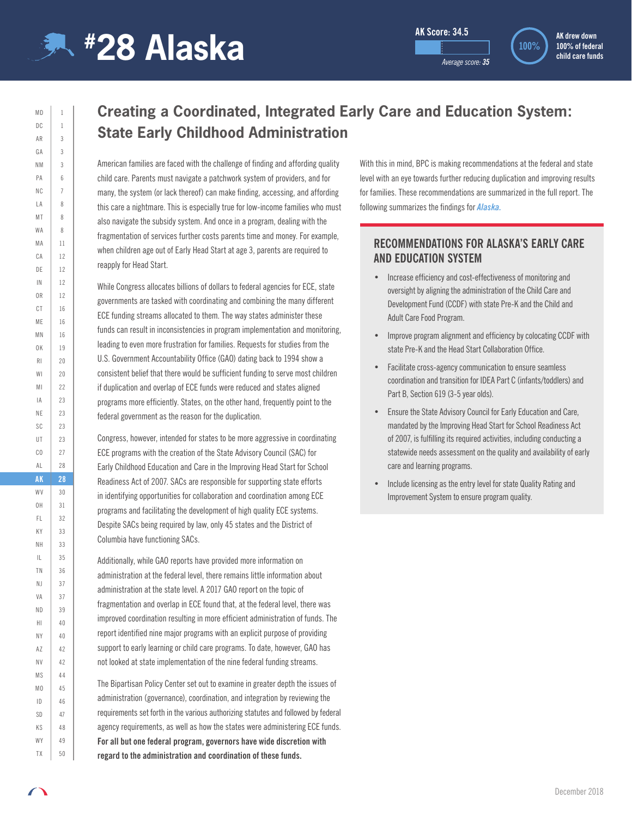

 $MD$  1  $DC \mid 1$ AR 3  $GA$  3  $NM$  3 PA 6  $NC \mid 7$  $LA$  8 MT 8  $WA$  8  $MA$  11 CA 12 DE | 12 IN 12  $0R$  12 CT 16  $MF$  16 MN 16 OK 19 RI 20  $W1$  20 MI 22  $|A|$  23 NE 23 SC 23 UT 23  $CO$  27 AL 28 **AK 28** WV 30 OH 31 FL 32  $KY$  33 NH 33 IL 35 TN 36 NJ 37 VA 37 ND 39  $H1$  40  $NY$   $40$ AZ 42  $N$ V 42 MS 44 MO 45 ID 46  $SD$  47 KS 48  $WY$  49 TX 50

**AK drew down 100% of federal child care funds**

## **Creating a Coordinated, Integrated Early Care and Education System: State Early Childhood Administration**

American families are faced with the challenge of finding and affording quality child care. Parents must navigate a patchwork system of providers, and for many, the system (or lack thereof) can make finding, accessing, and affording this care a nightmare. This is especially true for low-income families who must also navigate the subsidy system. And once in a program, dealing with the fragmentation of services further costs parents time and money. For example, when children age out of Early Head Start at age 3, parents are required to reapply for Head Start.

While Congress allocates billions of dollars to federal agencies for ECE, state governments are tasked with coordinating and combining the many different ECE funding streams allocated to them. The way states administer these funds can result in inconsistencies in program implementation and monitoring, leading to even more frustration for families. Requests for studies from the U.S. Government Accountability Office (GAO) dating back to 1994 show a consistent belief that there would be sufficient funding to serve most children if duplication and overlap of ECE funds were reduced and states aligned programs more efficiently. States, on the other hand, frequently point to the federal government as the reason for the duplication.

Congress, however, intended for states to be more aggressive in coordinating ECE programs with the creation of the State Advisory Council (SAC) for Early Childhood Education and Care in the Improving Head Start for School Readiness Act of 2007. SACs are responsible for supporting state efforts in identifying opportunities for collaboration and coordination among ECE programs and facilitating the development of high quality ECE systems. Despite SACs being required by law, only 45 states and the District of Columbia have functioning SACs.

Additionally, while GAO reports have provided more information on administration at the federal level, there remains little information about administration at the state level. A 2017 GAO report on the topic of fragmentation and overlap in ECE found that, at the federal level, there was improved coordination resulting in more efficient administration of funds. The report identified nine major programs with an explicit purpose of providing support to early learning or child care programs. To date, however, GAO has not looked at state implementation of the nine federal funding streams.

The Bipartisan Policy Center set out to examine in greater depth the issues of administration (governance), coordination, and integration by reviewing the requirements set forth in the various authorizing statutes and followed by federal agency requirements, as well as how the states were administering ECE funds. **For all but one federal program, governors have wide discretion with regard to the administration and coordination of these funds.**

With this in mind, BPC is making recommendations at the federal and state level with an eye towards further reducing duplication and improving results for families. These recommendations are summarized in the full report. The following summarizes the findings for *Alaska.*

#### **RECOMMENDATIONS FOR ALASKA'S EARLY CARE AND EDUCATION SYSTEM**

- Increase efficiency and cost-effectiveness of monitoring and oversight by aligning the administration of the Child Care and Development Fund (CCDF) with state Pre-K and the Child and Adult Care Food Program.
- Improve program alignment and efficiency by colocating CCDF with state Pre-K and the Head Start Collaboration Office.
- Facilitate cross-agency communication to ensure seamless coordination and transition for IDEA Part C (infants/toddlers) and Part B, Section 619 (3-5 year olds).
- Ensure the State Advisory Council for Early Education and Care, mandated by the Improving Head Start for School Readiness Act of 2007, is fulfilling its required activities, including conducting a statewide needs assessment on the quality and availability of early care and learning programs.
- Include licensing as the entry level for state Quality Rating and Improvement System to ensure program quality.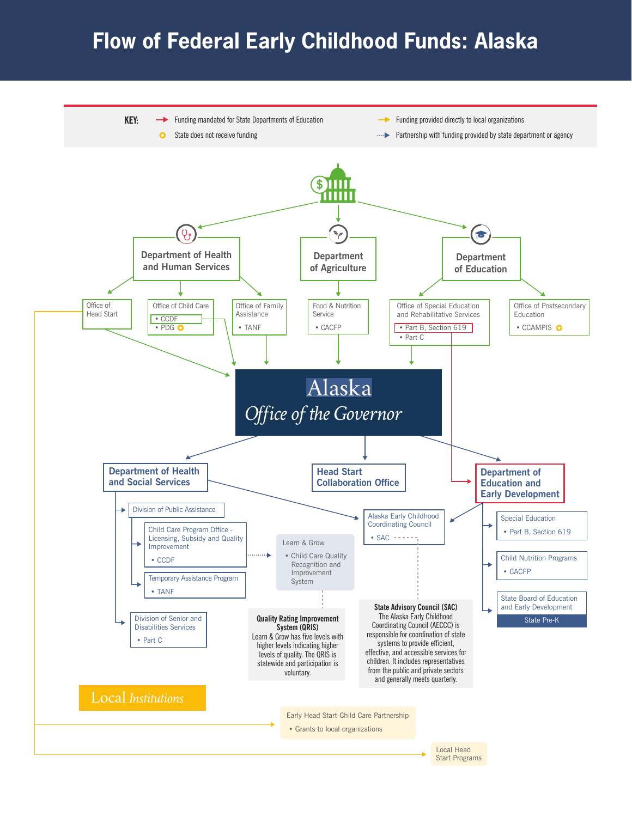# **Flow of Federal Early Childhood Funds: Alaska**

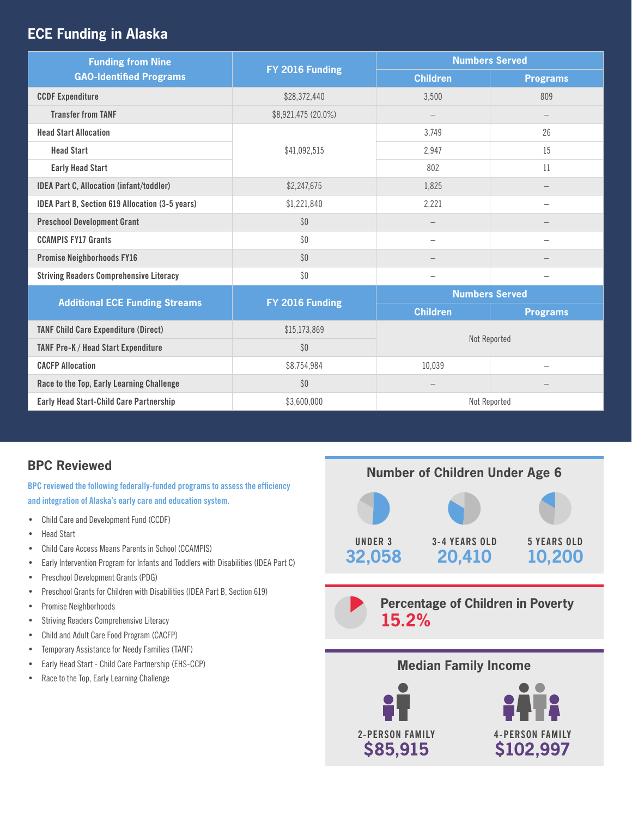## **ECE Funding in Alaska**

| <b>Funding from Nine</b><br><b>GAO-Identified Programs</b> | FY 2016 Funding     | <b>Numbers Served</b> |                          |
|------------------------------------------------------------|---------------------|-----------------------|--------------------------|
|                                                            |                     | <b>Children</b>       | <b>Programs</b>          |
| <b>CCDF Expenditure</b>                                    | \$28,372,440        | 3,500                 | 809                      |
| <b>Transfer from TANF</b>                                  | \$8,921,475 (20.0%) |                       |                          |
| <b>Head Start Allocation</b>                               | \$41,092,515        | 3,749                 | 26                       |
| <b>Head Start</b>                                          |                     | 2,947                 | 15                       |
| <b>Early Head Start</b>                                    |                     | 802                   | 11                       |
| <b>IDEA Part C, Allocation (infant/toddler)</b>            | \$2,247,675         | 1,825                 |                          |
| <b>IDEA Part B, Section 619 Allocation (3-5 years)</b>     | \$1,221,840         | 2,221                 | $\overline{\phantom{a}}$ |
| <b>Preschool Development Grant</b>                         | \$0                 |                       |                          |
| <b>CCAMPIS FY17 Grants</b>                                 | \$0                 | $\equiv$              |                          |
| <b>Promise Neighborhoods FY16</b>                          | \$0                 |                       |                          |
| <b>Striving Readers Comprehensive Literacy</b>             | \$0                 | -                     | $\overline{\phantom{0}}$ |
| <b>Additional ECE Funding Streams</b>                      | FY 2016 Funding     | <b>Numbers Served</b> |                          |
|                                                            |                     | <b>Children</b>       | <b>Programs</b>          |
| <b>TANF Child Care Expenditure (Direct)</b>                | \$15,173,869        | Not Reported          |                          |
| TANF Pre-K / Head Start Expenditure                        | \$0                 |                       |                          |
| <b>CACFP Allocation</b>                                    | \$8,754,984         | 10,039                |                          |
| Race to the Top, Early Learning Challenge                  | \$0                 |                       |                          |
| <b>Early Head Start-Child Care Partnership</b>             | \$3,600,000         | Not Reported          |                          |

## **BPC Reviewed**

**BPC reviewed the following federally-funded programs to assess the efficiency and integration of Alaska's early care and education system.** 

- Child Care and Development Fund (CCDF)
- Head Start
- Child Care Access Means Parents in School (CCAMPIS)
- Early Intervention Program for Infants and Toddlers with Disabilities (IDEA Part C)
- Preschool Development Grants (PDG)
- Preschool Grants for Children with Disabilities (IDEA Part B, Section 619)
- Promise Neighborhoods
- Striving Readers Comprehensive Literacy
- Child and Adult Care Food Program (CACFP)
- Temporary Assistance for Needy Families (TANF)
- Early Head Start Child Care Partnership (EHS-CCP)
- Race to the Top, Early Learning Challenge





## **Median Family Income**